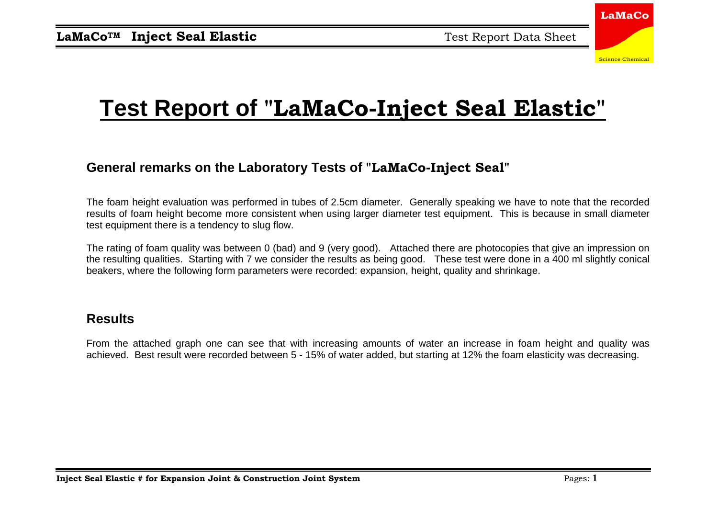

## **Test Report of "LaMaCo-Inject Seal Elastic"**

### **General remarks on the Laboratory Tests of "LaMaCo-Inject Seal"**

The foam height evaluation was performed in tubes of 2.5cm diameter. Generally speaking we have to note that the recorded results of foam height become more consistent when using larger diameter test equipment. This is because in small diameter test equipment there is a tendency to slug flow.

The rating of foam quality was between 0 (bad) and 9 (very good). Attached there are photocopies that give an impression on the resulting qualities. Starting with 7 we consider the results as being good. These test were done in a 400 ml slightly conical beakers, where the following form parameters were recorded: expansion, height, quality and shrinkage.

#### **Results**

From the attached graph one can see that with increasing amounts of water an increase in foam height and quality was achieved. Best result were recorded between 5 - 15% of water added, but starting at 12% the foam elasticity was decreasing.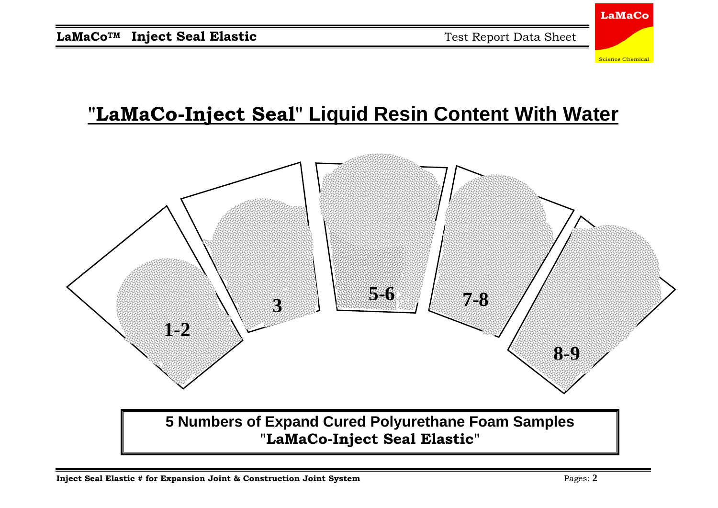

### **"LaMaCo-Inject Seal" Liquid Resin Content With Water**



**5 Numbers of Expand Cured Polyurethane Foam Samples "LaMaCo-Inject Seal Elastic"**